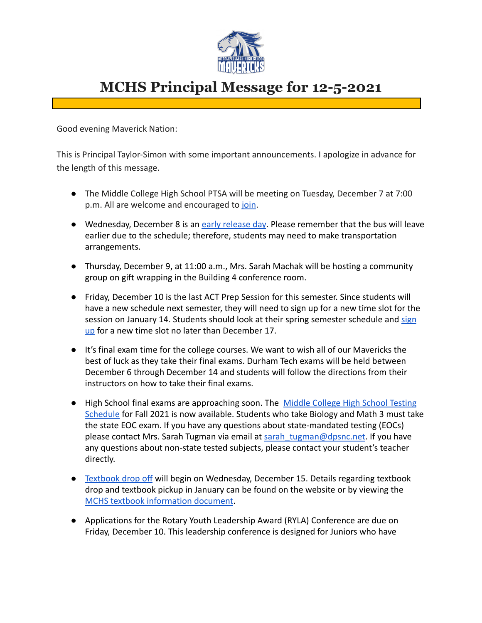

## **MCHS Principal Message for 12-5-2021**

Good evening Maverick Nation:

This is Principal Taylor-Simon with some important announcements. I apologize in advance for the length of this message.

- The Middle College High School PTSA will be meeting on Tuesday, December 7 at 7:00 p.m. All are welcome and encouraged to [join](https://us02web.zoom.us/j/82279169349).
- Wednesday, December 8 is an [early release day](https://www.dpsnc.net/cms/lib/NC01911152/Centricity/Domain/777/Bell%20Schedules%202021-2022.docx.pdf). Please remember that the bus will leave earlier due to the schedule; therefore, students may need to make transportation arrangements.
- Thursday, December 9, at 11:00 a.m., Mrs. Sarah Machak will be hosting a community group on gift wrapping in the Building 4 conference room.
- Friday, December 10 is the last ACT Prep Session for this semester. Since students will have a new schedule next semester, they will need to sign up for a new time slot for the session on January 14. Students should look at their spring semester schedule and [sign](https://docs.google.com/forms/d/e/1FAIpQLSfDQAD_vr3oUuvw3G3N8Ef7wgE522mWPeakAZb-fXZtt_nvwA/viewform) [up](https://docs.google.com/forms/d/e/1FAIpQLSfDQAD_vr3oUuvw3G3N8Ef7wgE522mWPeakAZb-fXZtt_nvwA/viewform) for a new time slot no later than December 17.
- It's final exam time for the college courses. We want to wish all of our Mavericks the best of luck as they take their final exams. Durham Tech exams will be held between December 6 through December 14 and students will follow the directions from their instructors on how to take their final exams.
- High School final exams are approaching soon. The [Middle College High School Testing](https://docs.google.com/document/d/1alAXAEn6TCEtuM7I5232H-jhWyKigZKASIe6sKWf5dk/edit?usp=sharing) [Schedule](https://docs.google.com/document/d/1alAXAEn6TCEtuM7I5232H-jhWyKigZKASIe6sKWf5dk/edit?usp=sharing) for Fall 2021 is now available. Students who take Biology and Math 3 must take the state EOC exam. If you have any questions about state-mandated testing (EOCs) please contact Mrs. Sarah Tugman via email at sarah tugman@dpsnc.net. If you have any questions about non-state tested subjects, please contact your student's teacher directly.
- [Textbook drop off](https://docs.google.com/document/d/12_ngwfa0SOP-UCD26e044M2snbQDjukdnxRnMC_3pb0/edit?usp=sharing) will begin on Wednesday, December 15. Details regarding textbook drop and textbook pickup in January can be found on the website or by viewing the [MCHS textbook information document](https://docs.google.com/document/d/12_ngwfa0SOP-UCD26e044M2snbQDjukdnxRnMC_3pb0/edit?usp=sharing).
- Applications for the Rotary Youth Leadership Award (RYLA) Conference are due on Friday, December 10. This leadership conference is designed for Juniors who have